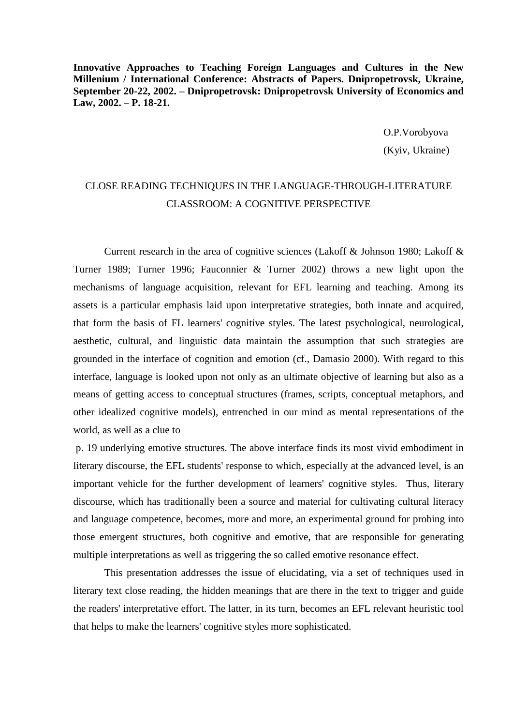**Innovative Approaches to Teaching Foreign Languages and Cultures in the New Millenium / International Conference: Abstracts of Papers. Dnipropetrovsk, Ukraine, September 20-22, 2002. – Dnipropetrovsk: Dnipropetrovsk University of Economics and Law, 2002. – P. 18-21.**

> O.P.Vorobyova (Kyiv, Ukraine)

## CLOSE READING TECHNIQUES IN THE LANGUAGE-THROUGH-LITERATURE CLASSROOM: A COGNITIVE PERSPECTIVE

Current research in the area of cognitive sciences (Lakoff & Johnson 1980; Lakoff & Turner 1989; Turner 1996; Fauconnier & Turner 2002) throws a new light upon the mechanisms of language acquisition, relevant for EFL learning and teaching. Among its assets is a particular emphasis laid upon interpretative strategies, both innate and acquired, that form the basis of FL learners' cognitive styles. The latest psychological, neurological, aesthetic, cultural, and linguistic data maintain the assumption that such strategies are grounded in the interface of cognition and emotion (cf., Damasio 2000). With regard to this interface, language is looked upon not only as an ultimate objective of learning but also as a means of getting access to conceptual structures (frames, scripts, conceptual metaphors, and other idealized cognitive models), entrenched in our mind as mental representations of the world, as well as a clue to

p. 19 underlying emotive structures. The above interface finds its most vivid embodiment in literary discourse, the EFL students' response to which, especially at the advanced level, is an important vehicle for the further development of learners' cognitive styles. Thus, literary discourse, which has traditionally been a source and material for cultivating cultural literacy and language competence, becomes, more and more, an experimental ground for probing into those emergent structures, both cognitive and emotive, that are responsible for generating multiple interpretations as well as triggering the so called emotive resonance effect.

This presentation addresses the issue of elucidating, via a set of techniques used in literary text close reading, the hidden meanings that are there in the text to trigger and guide the readers' interpretative effort. The latter, in its turn, becomes an EFL relevant heuristic tool that helps to make the learners' cognitive styles more sophisticated.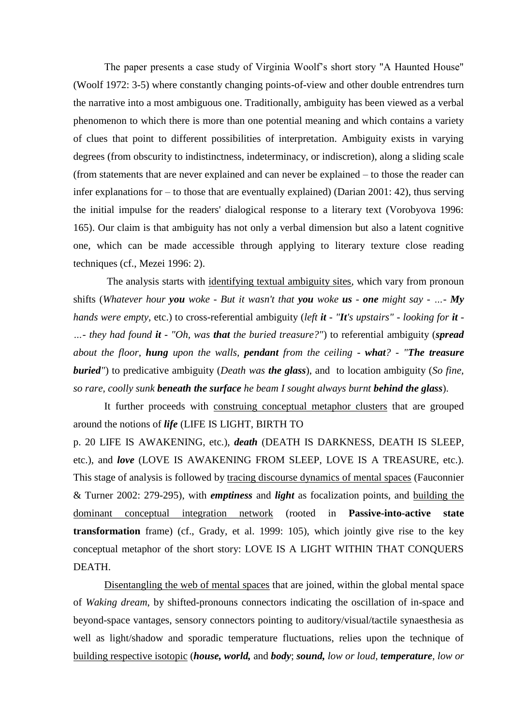The paper presents a case study of Virginia Woolf's short story "A Haunted House" (Woolf 1972: 3-5) where constantly changing points-of-view and other double entrendres turn the narrative into a most ambiguous one. Traditionally, ambiguity has been viewed as a verbal phenomenon to which there is more than one potential meaning and which contains a variety of clues that point to different possibilities of interpretation. Ambiguity exists in varying degrees (from obscurity to indistinctness, indeterminacy, or indiscretion), along a sliding scale (from statements that are never explained and can never be explained – to those the reader can infer explanations for – to those that are eventually explained) (Darian 2001: 42), thus serving the initial impulse for the readers' dialogical response to a literary text (Vorobyova 1996: 165). Our claim is that ambiguity has not only a verbal dimension but also a latent cognitive one, which can be made accessible through applying to literary texture close reading techniques (cf., Mezei 1996: 2).

The analysis starts with identifying textual ambiguity sites, which vary from pronoun shifts (*Whatever hour you woke - But it wasn't that you woke us - one might say - …- My hands were empty,* etc.) to cross-referential ambiguity (*left it - "It's upstairs" - looking for it - …- they had found it - "Oh, was that the buried treasure?"*) to referential ambiguity (*spread about the floor, hung upon the walls, pendant from the ceiling - what? - "The treasure buried"*) to predicative ambiguity (*Death was the glass*), and to location ambiguity (*So fine, so rare, coolly sunk beneath the surface he beam I sought always burnt behind the glass*).

It further proceeds with construing conceptual metaphor clusters that are grouped around the notions of *life* (LIFE IS LIGHT, BIRTH TO

p. 20 LIFE IS AWAKENING, etc.), *death* (DEATH IS DARKNESS, DEATH IS SLEEP, etc.), and *love* (LOVE IS AWAKENING FROM SLEEP, LOVE IS A TREASURE, etc.). This stage of analysis is followed by tracing discourse dynamics of mental spaces (Fauconnier & Turner 2002: 279-295), with *emptiness* and *light* as focalization points, and building the dominant conceptual integration network (rooted in **Passive-into-active state transformation** frame) (cf., Grady, et al. 1999: 105), which jointly give rise to the key conceptual metaphor of the short story: LOVE IS A LIGHT WITHIN THAT CONQUERS DEATH.

Disentangling the web of mental spaces that are joined, within the global mental space of *Waking dream*, by shifted-pronouns connectors indicating the oscillation of in-space and beyond-space vantages, sensory connectors pointing to auditory/visual/tactile synaesthesia as well as light/shadow and sporadic temperature fluctuations, relies upon the technique of building respective isotopic (*house, world,* and *body*; *sound, low or loud, temperature, low or*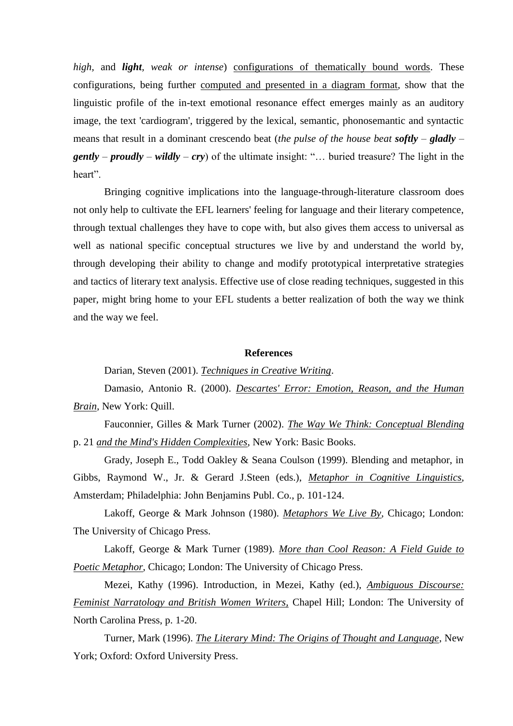*high,* and *light, weak or intense*) configurations of thematically bound words. These configurations, being further computed and presented in a diagram format, show that the linguistic profile of the in-text emotional resonance effect emerges mainly as an auditory image, the text 'cardiogram', triggered by the lexical, semantic, phonosemantic and syntactic means that result in a dominant crescendo beat (*the pulse of the house beat softly – gladly – gently – proudly – wildly – cry*) of the ultimate insight: "… buried treasure? The light in the heart".

Bringing cognitive implications into the language-through-literature classroom does not only help to cultivate the EFL learners' feeling for language and their literary competence, through textual challenges they have to cope with, but also gives them access to universal as well as national specific conceptual structures we live by and understand the world by, through developing their ability to change and modify prototypical interpretative strategies and tactics of literary text analysis. Effective use of close reading techniques, suggested in this paper, might bring home to your EFL students a better realization of both the way we think and the way we feel.

## **References**

Darian, Steven (2001). *Techniques in Creative Writing*.

Damasio, Antonio R. (2000). *Descartes' Error: Emotion, Reason, and the Human Brain*, New York: Quill.

Fauconnier, Gilles & Mark Turner (2002). *The Way We Think: Conceptual Blending*  p. 21 *and the Mind's Hidden Complexities*, New York: Basic Books.

Grady, Joseph E., Todd Oakley & Seana Coulson (1999). Blending and metaphor, in Gibbs, Raymond W., Jr. & Gerard J.Steen (eds.), *Metaphor in Cognitive Linguistics*, Amsterdam; Philadelphia: John Benjamins Publ. Co., p. 101-124.

Lakoff, George & Mark Johnson (1980). *Metaphors We Live By*, Chicago; London: The University of Chicago Press.

Lakoff, George & Mark Turner (1989). *More than Cool Reason: A Field Guide to Poetic Metaphor*, Chicago; London: The University of Chicago Press.

Mezei, Kathy (1996). Introduction, in Mezei, Kathy (ed.), *Ambiguous Discourse: Feminist Narratology and British Women Writers,* Chapel Hill; London: The University of North Carolina Press, p. 1-20.

Turner, Mark (1996). *The Literary Mind: The Origins of Thought and Language*, New York; Oxford: Oxford University Press.